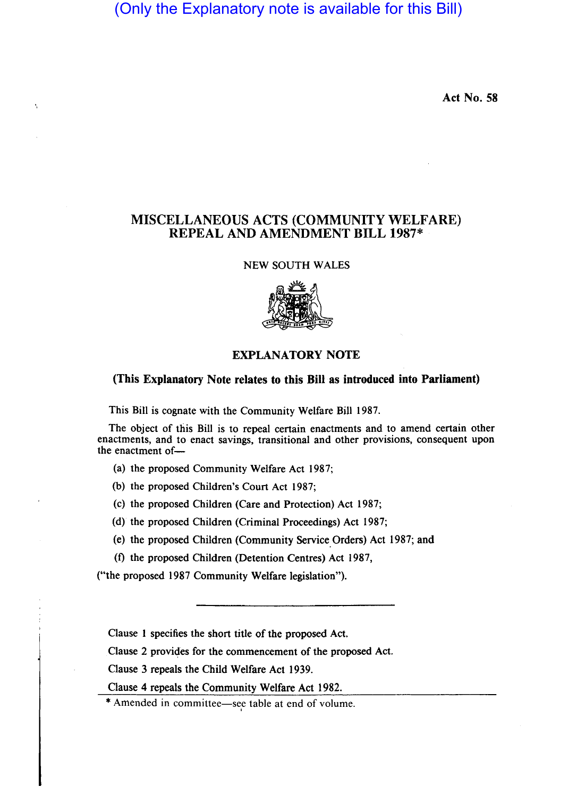(Only the Explanatory note is available for this Bill)

Act No. 58

## MISCELLANEOUS ACTS (COMMUNITY WELFARE) REPEAL AND AMENDMENT BILL 1987\*

NEW SOUTH WALES



## EXPLANATORY NOTE

## (This Explanatory Note relates to this Bill as introduced into Parliament)

This Bill is cognate with the Community Welfare Bill 1987.

The object of this Bill is to repeal certain enactments and to amend certain other enactments, and to enact savings, transitional and other provisions, consequent upon the enactment of-

(a) the proposed Community Welfare Act 1987;

(b) the proposed Children's Court Act 1987;

(c) the proposed Children (Care and Protection) Act 1987;

(d) the proposed Children (Criminal Proceedings) Act 1987;

(e) the proposed Children (Community Service. Orders) Act 1987; and

(f) the proposed Children (Detention Centres) Act 1987,

("the proposed 1987 Community Welfare legislation").

Clause 1 specifies the short title of the proposed Act.

Clause 2 provides for the commencement of the proposed Act.

Clause 3 repeals the Child Welfare Act 1939.

Clause 4 repeals the Community Welfare Act 1982.

\* Amended in committee-see table at end of volume.